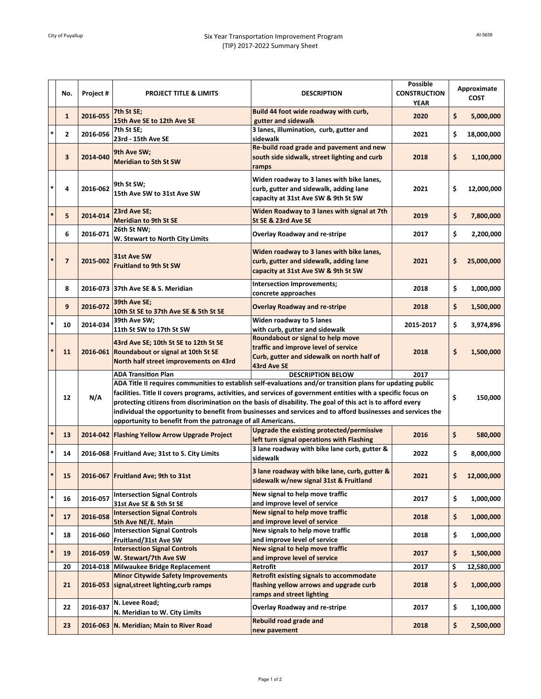|               | No.            | Project # | <b>PROJECT TITLE &amp; LIMITS</b>                                                                                                                                                                                                                                                                                                                                                                                                                                                                                                                                                             | <b>DESCRIPTION</b>                                                                                                                     | <b>Possible</b><br><b>CONSTRUCTION</b><br><b>YEAR</b> | Approximate<br><b>COST</b> |            |
|---------------|----------------|-----------|-----------------------------------------------------------------------------------------------------------------------------------------------------------------------------------------------------------------------------------------------------------------------------------------------------------------------------------------------------------------------------------------------------------------------------------------------------------------------------------------------------------------------------------------------------------------------------------------------|----------------------------------------------------------------------------------------------------------------------------------------|-------------------------------------------------------|----------------------------|------------|
|               | $\mathbf{1}$   | 2016-055  | 7th St SE;<br>15th Ave SE to 12th Ave SE                                                                                                                                                                                                                                                                                                                                                                                                                                                                                                                                                      | Build 44 foot wide roadway with curb,<br>gutter and sidewalk                                                                           | 2020                                                  | \$                         | 5,000,000  |
|               | 2              | 2016-056  | 7th St SE;<br>23rd - 15th Ave SE                                                                                                                                                                                                                                                                                                                                                                                                                                                                                                                                                              | 3 lanes, illumination, curb, gutter and<br>sidewalk                                                                                    | 2021                                                  | \$                         | 18,000,000 |
|               | 3              | 2014-040  | 9th Ave SW;<br><b>Meridian to 5th St SW</b>                                                                                                                                                                                                                                                                                                                                                                                                                                                                                                                                                   | Re-build road grade and pavement and new<br>south side sidwalk, street lighting and curb<br>ramps                                      | 2018                                                  | \$                         | 1,100,000  |
| $\ast$        | 4              | 2016-062  | 9th St SW:<br>15th Ave SW to 31st Ave SW                                                                                                                                                                                                                                                                                                                                                                                                                                                                                                                                                      | Widen roadway to 3 lanes with bike lanes,<br>curb, gutter and sidewalk, adding lane<br>capacity at 31st Ave SW & 9th St SW             | 2021                                                  | \$                         | 12,000,000 |
| $\ast$        | 5              | 2014-014  | 23rd Ave SE;<br><b>Meridian to 9th St SE</b>                                                                                                                                                                                                                                                                                                                                                                                                                                                                                                                                                  | Widen Roadway to 3 lanes with signal at 7th<br>St SE & 23rd Ave SE                                                                     | 2019                                                  | \$                         | 7,800,000  |
|               | 6              | 2016-071  | 26th St NW;<br>W. Stewart to North City Limits                                                                                                                                                                                                                                                                                                                                                                                                                                                                                                                                                | <b>Overlay Roadway and re-stripe</b>                                                                                                   | 2017                                                  | \$                         | 2,200,000  |
|               | $\overline{7}$ | 2015-002  | 31st Ave SW<br><b>Fruitland to 9th St SW</b>                                                                                                                                                                                                                                                                                                                                                                                                                                                                                                                                                  | Widen roadway to 3 lanes with bike lanes,<br>curb, gutter and sidewalk, adding lane<br>capacity at 31st Ave SW & 9th St SW             | 2021                                                  | \$                         | 25,000,000 |
|               | 8              |           | 2016-073 37th Ave SE & S. Meridian                                                                                                                                                                                                                                                                                                                                                                                                                                                                                                                                                            | Intersection Improvements;<br>concrete approaches                                                                                      | 2018                                                  | \$                         | 1,000,000  |
|               | 9              | 2016-072  | 39th Ave SE;<br>10th St SE to 37th Ave SE & 5th St SE                                                                                                                                                                                                                                                                                                                                                                                                                                                                                                                                         | <b>Overlay Roadway and re-stripe</b>                                                                                                   | 2018                                                  | \$                         | 1,500,000  |
|               | 10             | 2014-034  | 39th Ave SW;<br>11th St SW to 17th St SW                                                                                                                                                                                                                                                                                                                                                                                                                                                                                                                                                      | Widen roadway to 5 lanes<br>with curb, gutter and sidewalk                                                                             | 2015-2017                                             | \$                         | 3,974,896  |
|               | 11             |           | 43rd Ave SE; 10th St SE to 12th St SE<br>2016-061 Roundabout or signal at 10th St SE<br>North half street improvements on 43rd                                                                                                                                                                                                                                                                                                                                                                                                                                                                | Roundabout or signal to help move<br>traffic and improve level of service<br>Curb, gutter and sidewalk on north half of<br>43rd Ave SE | 2018                                                  | \$                         | 1,500,000  |
|               | 12             | N/A       | <b>ADA Transition Plan</b><br>2017<br><b>DESCRIPTION BELOW</b><br>ADA Title II requires communities to establish self-evaluations and/or transition plans for updating public<br>facilities. Title II covers programs, activities, and services of government entities with a specific focus on<br>protecting citizens from discrimination on the basis of disability. The goal of this act is to afford every<br>individual the opportunity to benefit from businesses and services and to afford businesses and services the<br>opportunity to benefit from the patronage of all Americans. |                                                                                                                                        |                                                       |                            |            |
| $\frac{1}{2}$ | 13             |           | 2014-042 Flashing Yellow Arrow Upgrade Project                                                                                                                                                                                                                                                                                                                                                                                                                                                                                                                                                | <b>Upgrade the existing protected/permissive</b><br>left turn signal operations with Flashing                                          | 2016                                                  | \$                         | 580,000    |
|               | 14             |           | 2016-068 Fruitland Ave; 31st to S. City Limits                                                                                                                                                                                                                                                                                                                                                                                                                                                                                                                                                | 3 lane roadway with bike lane curb, gutter &<br>sidewalk                                                                               | 2022                                                  | \$                         | 8,000,000  |
|               | 15             |           | 2016-067 Fruitland Ave; 9th to 31st                                                                                                                                                                                                                                                                                                                                                                                                                                                                                                                                                           | 3 lane roadway with bike lane, curb, gutter &<br>sidewalk w/new signal 31st & Fruitland                                                | 2021                                                  |                            | 12,000,000 |
| $\ast$        | 16             | 2016-057  | <b>Intersection Signal Controls</b><br>31st Ave SE & 5th St SE                                                                                                                                                                                                                                                                                                                                                                                                                                                                                                                                | New signal to help move traffic<br>and improve level of service                                                                        | 2017                                                  | \$                         | 1,000,000  |
| $\ast$        | 17             | 2016-058  | <b>Intersection Signal Controls</b><br>5th Ave NE/E. Main                                                                                                                                                                                                                                                                                                                                                                                                                                                                                                                                     | New signal to help move traffic<br>and improve level of service                                                                        | 2018                                                  | \$                         | 1,000,000  |
| $\ast$        | 18             | 2016-060  | <b>Intersection Signal Controls</b><br>Fruitland/31st Ave SW                                                                                                                                                                                                                                                                                                                                                                                                                                                                                                                                  | New signals to help move traffic<br>and improve level of service                                                                       | 2018                                                  | \$                         | 1,000,000  |
| $\ast$        | 19             | 2016-059  | <b>Intersection Signal Controls</b><br>W. Stewart/7th Ave SW                                                                                                                                                                                                                                                                                                                                                                                                                                                                                                                                  | New signal to help move traffic<br>and improve level of service                                                                        | 2017                                                  | \$                         | 1,500,000  |
|               | 20             |           | 2014-018 Milwaukee Bridge Replacement                                                                                                                                                                                                                                                                                                                                                                                                                                                                                                                                                         | Retrofit                                                                                                                               | 2017                                                  | \$                         | 12,580,000 |
|               | 21             |           | <b>Minor Citywide Safety Improvements</b><br>2016-053 signal, street lighting, curb ramps                                                                                                                                                                                                                                                                                                                                                                                                                                                                                                     | <b>Retrofit existing signals to accommodate</b><br>flashing yellow arrows and upgrade curb<br>ramps and street lighting                | 2018                                                  | \$                         | 1,000,000  |
|               | 22             | 2016-037  | N. Levee Road;<br>N. Meridian to W. City Limits                                                                                                                                                                                                                                                                                                                                                                                                                                                                                                                                               | <b>Overlay Roadway and re-stripe</b>                                                                                                   | 2017                                                  | \$                         | 1,100,000  |
|               | 23             |           | 2016-063 N. Meridian; Main to River Road                                                                                                                                                                                                                                                                                                                                                                                                                                                                                                                                                      | <b>Rebuild road grade and</b><br>new pavement                                                                                          | 2018                                                  | \$                         | 2,500,000  |